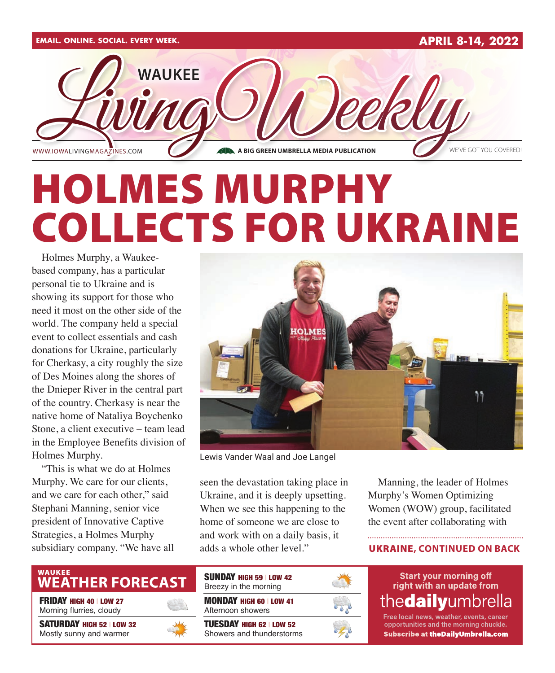

# HOLMES MURPHY COLLECTS FOR UKRAINE

Holmes Murphy, a Waukeebased company, has a particular personal tie to Ukraine and is showing its support for those who need it most on the other side of the world. The company held a special event to collect essentials and cash donations for Ukraine, particularly for Cherkasy, a city roughly the size of Des Moines along the shores of the Dnieper River in the central part of the country. Cherkasy is near the native home of Nataliya Boychenko Stone, a client executive – team lead in the Employee Benefits division of Holmes Murphy.

"This is what we do at Holmes Murphy. We care for our clients, and we care for each other," said Stephani Manning, senior vice president of Innovative Captive Strategies, a Holmes Murphy subsidiary company. "We have all



Lewis Vander Waal and Joe Langel

seen the devastation taking place in Ukraine, and it is deeply upsetting. When we see this happening to the home of someone we are close to and work with on a daily basis, it adds a whole other level."

Manning, the leader of Holmes Murphy's Women Optimizing Women (WOW) group, facilitated the event after collaborating with

### UKRAINE**, CONTINUED ON BACK**

### WAUKEE<br>**WEATHER FORECAST**

FRIDAY HIGH 40 | LOW 27 Morning flurries, cloudy

SATURDAY HIGH 52 | LOW 32 Mostly sunny and warmer



| <b>SUNDAY HIGH 59 LOW 42</b><br>Breezy in the morning        |  |
|--------------------------------------------------------------|--|
| <b>MONDAY HIGH 60   LOW 41</b><br>Afternoon showers          |  |
| <b>TUESDAY HIGH 62   LOW 52</b><br>Showers and thunderstorms |  |



**Start your morning off** right with an update from the**daily**umbrella

Free local news, weather, events, career opportunities and the morning chuckle. **Subscribe at theDailyUmbrella.com**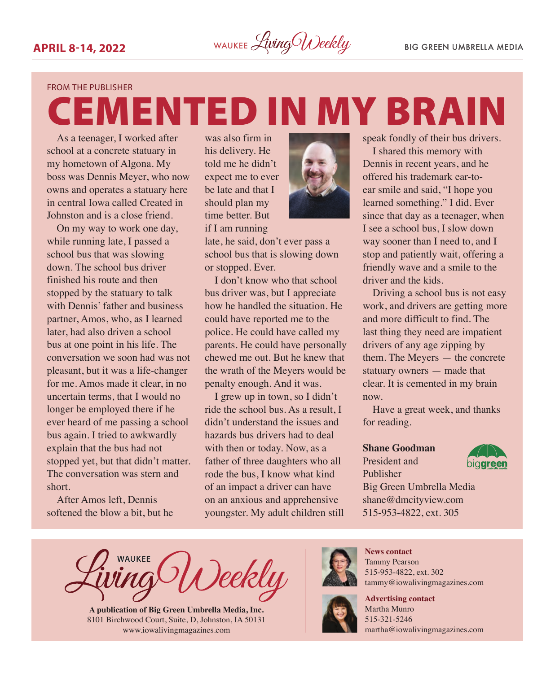EMENTED IN MY BRAIN

#### FROM THE PUBLISHER

As a teenager, I worked after school at a concrete statuary in my hometown of Algona. My boss was Dennis Meyer, who now owns and operates a statuary here in central Iowa called Created in Johnston and is a close friend.

On my way to work one day, while running late, I passed a school bus that was slowing down. The school bus driver finished his route and then stopped by the statuary to talk with Dennis' father and business partner, Amos, who, as I learned later, had also driven a school bus at one point in his life. The conversation we soon had was not pleasant, but it was a life-changer for me. Amos made it clear, in no uncertain terms, that I would no longer be employed there if he ever heard of me passing a school bus again. I tried to awkwardly explain that the bus had not stopped yet, but that didn't matter. The conversation was stern and short.

After Amos left, Dennis softened the blow a bit, but he

was also firm in his delivery. He told me he didn't expect me to ever be late and that I should plan my time better. But if I am running



late, he said, don't ever pass a school bus that is slowing down or stopped. Ever.

I don't know who that school bus driver was, but I appreciate how he handled the situation. He could have reported me to the police. He could have called my parents. He could have personally chewed me out. But he knew that the wrath of the Meyers would be penalty enough. And it was.

I grew up in town, so I didn't ride the school bus. As a result, I didn't understand the issues and hazards bus drivers had to deal with then or today. Now, as a father of three daughters who all rode the bus, I know what kind of an impact a driver can have on an anxious and apprehensive youngster. My adult children still speak fondly of their bus drivers.

I shared this memory with Dennis in recent years, and he offered his trademark ear-toear smile and said, "I hope you learned something." I did. Ever since that day as a teenager, when I see a school bus, I slow down way sooner than I need to, and I stop and patiently wait, offering a friendly wave and a smile to the driver and the kids.

Driving a school bus is not easy work, and drivers are getting more and more difficult to find. The last thing they need are impatient drivers of any age zipping by them. The Meyers — the concrete statuary owners — made that clear. It is cemented in my brain now.

Have a great week, and thanks for reading.

#### **Shane Goodman**

President and Publisher



Big Green Umbrella Media shane@dmcityview.com 515-953-4822, ext. 305

**WAUKEE** )eekly

**A publication of Big Green Umbrella Media, Inc.** 8101 Birchwood Court, Suite, D, Johnston, IA 50131 [www.iowalivingmagazines.com](http://www.iowalivingmagazines.com)



**News contact** Tammy Pearson 515-953-4822, ext. 302 [tammy@iowalivingmagazines.com](mailto:tammy@iowalivingmagazines.com)

**Advertising contact** Martha Munro 515-321-5246 [martha@iowalivingmagazines.com](mailto:martha@iowalivingmagazines.com)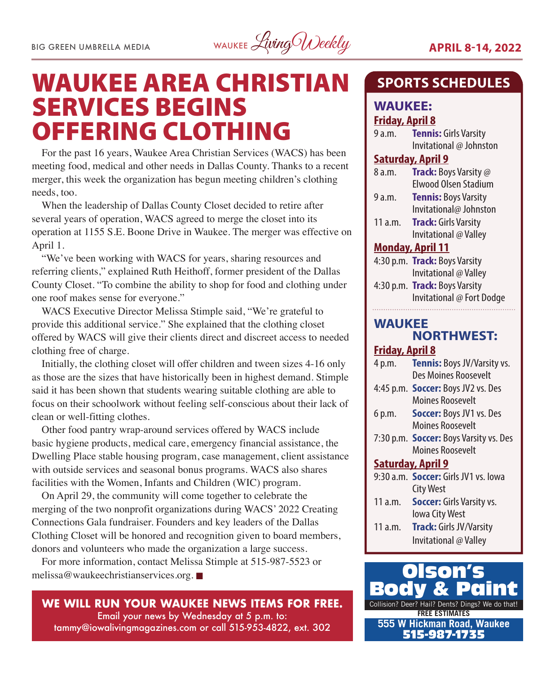

### WAUKEE AREA CHRISTIAN SERVICES BEGINS OFFERING CLOTHING

For the past 16 years, Waukee Area Christian Services (WACS) has been meeting food, medical and other needs in Dallas County. Thanks to a recent merger, this week the organization has begun meeting children's clothing needs, too.

When the leadership of Dallas County Closet decided to retire after several years of operation, WACS agreed to merge the closet into its operation at 1155 S.E. Boone Drive in Waukee. The merger was effective on April 1.

"We've been working with WACS for years, sharing resources and referring clients," explained Ruth Heithoff, former president of the Dallas County Closet. "To combine the ability to shop for food and clothing under one roof makes sense for everyone."

WACS Executive Director Melissa Stimple said, "We're grateful to provide this additional service." She explained that the clothing closet offered by WACS will give their clients direct and discreet access to needed clothing free of charge.

Initially, the clothing closet will offer children and tween sizes 4-16 only as those are the sizes that have historically been in highest demand. Stimple said it has been shown that students wearing suitable clothing are able to focus on their schoolwork without feeling self-conscious about their lack of clean or well-fitting clothes.

Other food pantry wrap-around services offered by WACS include basic hygiene products, medical care, emergency financial assistance, the Dwelling Place stable housing program, case management, client assistance with outside services and seasonal bonus programs. WACS also shares facilities with the Women, Infants and Children (WIC) program.

On April 29, the community will come together to celebrate the merging of the two nonprofit organizations during WACS' 2022 Creating Connections Gala fundraiser. Founders and key leaders of the Dallas Clothing Closet will be honored and recognition given to board members, donors and volunteers who made the organization a large success.

For more information, contact Melissa Stimple at 515-987-5523 or [melissa@waukeechristianservices.org](mailto:melissa@waukeechristianservices.org).

**WE WILL RUN YOUR WAUKEE NEWS ITEMS FOR FREE.** Email your news by Wednesday at 5 p.m. to: [tammy@iowalivingmagazines.com](mailto:tammy@iowalivingmagazines.com) or call 515-953-4822, ext. 302

### **SPORTS SCHEDULES**

### **WAUKEE: Friday, April 8**

| 9 a.m. | <b>Tennis: Girls Varsity</b> |
|--------|------------------------------|
|        | Invitational @ Johnston      |

### **Saturday, April 9**

| 8 a.m.         | <b>Track:</b> Boys Varsity @ |
|----------------|------------------------------|
|                | <b>Elwood Olsen Stadium</b>  |
| 9 a.m.         | <b>Tennis: Boys Varsity</b>  |
|                | Invitational@ Johnston       |
| $11 \text{ m}$ | Track: Girls Varsity         |

11 a.m. **Track:** Girls Varsity Invitational @ Valley

### **Monday, April 11**

|                      | 4:30 p.m. <b>Track:</b> Boys Varsity |  |
|----------------------|--------------------------------------|--|
|                      | Invitational @ Valley                |  |
| $\sim$ $\sim$ $\sim$ | $\blacksquare$ in $\blacksquare$ :   |  |

4:30 p.m. **Track:** Boys Varsity Invitational @ Fort Dodge

### **WAUKEE NORTHWEST:**

### **Friday, April 8**

| 4 p.m.                   | <b>Tennis:</b> Boys JV/Varsity vs.            |  |
|--------------------------|-----------------------------------------------|--|
|                          | Des Moines Roosevelt                          |  |
|                          | 4:45 p.m. <b>Soccer:</b> Boys JV2 vs. Des     |  |
|                          | <b>Moines Roosevelt</b>                       |  |
| 6 p.m.                   | <b>Soccer: Boys JV1 vs. Des</b>               |  |
|                          | Moines Roosevelt                              |  |
|                          | 7:30 p.m. <b>Soccer:</b> Boys Varsity vs. Des |  |
|                          | Moines Roosevelt                              |  |
| <b>Saturday, April 9</b> |                                               |  |
|                          | 9:30 a.m. Soccer: Girls JV1 vs. lowa          |  |
|                          | <b>City West</b>                              |  |
| 11a.m.                   | <b>Soccer:</b> Girls Varsity vs.              |  |
|                          | lowa City West                                |  |
| 11 a.m.                  | <b>Track: Girls JV/Varsity</b>                |  |
|                          | Invitational @ Valley                         |  |

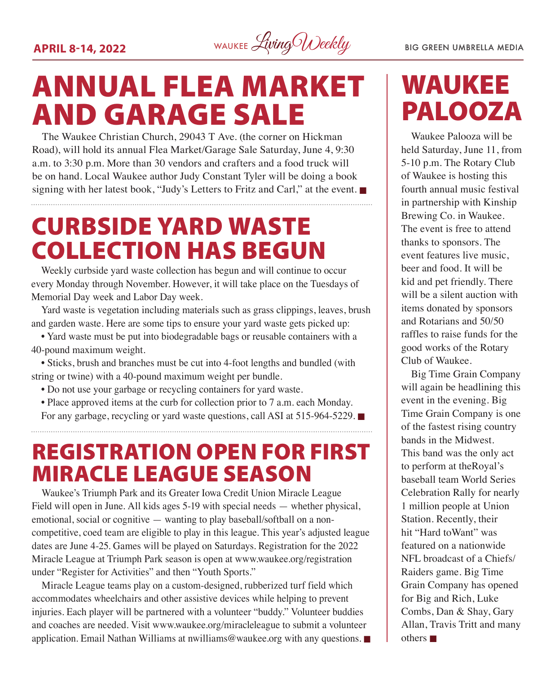**APRIL 8-14, 2022** WAUKEE *Living Weekly* BIG GREEN UMBRELLA MEDIA

## ANNUAL FLEA MARKET AND GARAGE SALE

The Waukee Christian Church, 29043 T Ave. (the corner on Hickman Road), will hold its annual Flea Market/Garage Sale Saturday, June 4, 9:30 a.m. to 3:30 p.m. More than 30 vendors and crafters and a food truck will be on hand. Local Waukee author Judy Constant Tyler will be doing a book signing with her latest book, "Judy's Letters to Fritz and Carl," at the event.

### CURBSIDE YARD WASTE COLLECTION HAS BEGUN

Weekly curbside yard waste collection has begun and will continue to occur every Monday through November. However, it will take place on the Tuesdays of Memorial Day week and Labor Day week.

Yard waste is vegetation including materials such as grass clippings, leaves, brush and garden waste. Here are some tips to ensure your yard waste gets picked up:

• Yard waste must be put into biodegradable bags or reusable containers with a 40-pound maximum weight.

• Sticks, brush and branches must be cut into 4-foot lengths and bundled (with string or twine) with a 40-pound maximum weight per bundle.

- Do not use your garbage or recycling containers for yard waste.
- Place approved items at the curb for collection prior to 7 a.m. each Monday. For any garbage, recycling or yard waste questions, call ASI at 515-964-5229.  $\blacksquare$

### REGISTRATION OPEN FOR FIRST MIRACLE LEAGUE SEASON

Waukee's Triumph Park and its Greater Iowa Credit Union Miracle League Field will open in June. All kids ages 5-19 with special needs — whether physical, emotional, social or cognitive — wanting to play baseball/softball on a noncompetitive, coed team are eligible to play in this league. This year's adjusted league dates are June 4-25. Games will be played on Saturdays. Registration for the 2022 Miracle League at Triumph Park season is open at [www.waukee.org/registration](http://www.waukee.org/registration)  under "Register for Activities" and then "Youth Sports."

Miracle League teams play on a custom-designed, rubberized turf field which accommodates wheelchairs and other assistive devices while helping to prevent injuries. Each player will be partnered with a volunteer "buddy." Volunteer buddies and coaches are needed. Visit [www.waukee.org/miracleleague](http://www.waukee.org/miracleleague) to submit a volunteer application. Email Nathan Williams at [nwilliams@waukee.org](mailto:nwilliams@waukee.org) with any questions.  $\blacksquare$ 

### WAUKEE PALOOZA

Waukee Palooza will be held Saturday, June 11, from 5-10 p.m. The Rotary Club of Waukee is hosting this fourth annual music festival in partnership with Kinship Brewing Co. in Waukee. The event is free to attend thanks to sponsors. The event features live music, beer and food. It will be kid and pet friendly. There will be a silent auction with items donated by sponsors and Rotarians and 50/50 raffles to raise funds for the good works of the Rotary Club of Waukee.

Big Time Grain Company will again be headlining this event in the evening. Big Time Grain Company is one of the fastest rising country bands in the Midwest. This band was the only act to perform at theRoyal's baseball team World Series Celebration Rally for nearly 1 million people at Union Station. Recently, their hit "Hard toWant" was featured on a nationwide NFL broadcast of a Chiefs/ Raiders game. Big Time Grain Company has opened for Big and Rich, Luke Combs, Dan & Shay, Gary Allan, Travis Tritt and many others  $\blacksquare$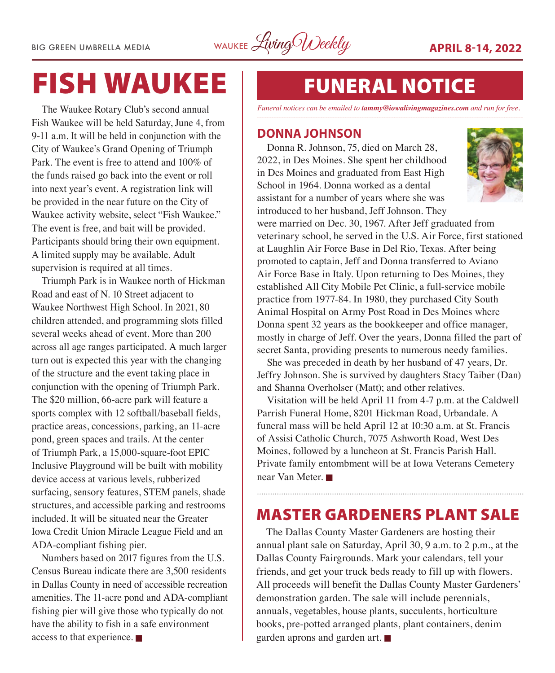BIG GREEN UMBRELLA MEDIA WAUKEE Living Weekly **APRIL 8-14, 2022** 

## FISH WAUKEE

The Waukee Rotary Club's second annual Fish Waukee will be held Saturday, June 4, from 9-11 a.m. It will be held in conjunction with the City of Waukee's Grand Opening of Triumph Park. The event is free to attend and 100% of the funds raised go back into the event or roll into next year's event. A registration link will be provided in the near future on the City of Waukee activity website, select "Fish Waukee." The event is free, and bait will be provided. Participants should bring their own equipment. A limited supply may be available. Adult supervision is required at all times.

Triumph Park is in Waukee north of Hickman Road and east of N. 10 Street adjacent to Waukee Northwest High School. In 2021, 80 children attended, and programming slots filled several weeks ahead of event. More than 200 across all age ranges participated. A much larger turn out is expected this year with the changing of the structure and the event taking place in conjunction with the opening of Triumph Park. The \$20 million, 66-acre park will feature a sports complex with 12 softball/baseball fields, practice areas, concessions, parking, an 11-acre pond, green spaces and trails. At the center of Triumph Park, a 15,000-square-foot EPIC Inclusive Playground will be built with mobility device access at various levels, rubberized surfacing, sensory features, STEM panels, shade structures, and accessible parking and restrooms included. It will be situated near the Greater Iowa Credit Union Miracle League Field and an ADA-compliant fishing pier.

Numbers based on 2017 figures from the U.S. Census Bureau indicate there are 3,500 residents in Dallas County in need of accessible recreation amenities. The 11-acre pond and ADA-compliant fishing pier will give those who typically do not have the ability to fish in a safe environment access to that experience.  $\blacksquare$ 

### FUNERAL NOTICE

*Funeral notices can be emailed to tammy@iowalivingmagazines.com and run for free.*

### **DONNA JOHNSON**

Donna R. Johnson, 75, died on March 28, 2022, in Des Moines. She spent her childhood in Des Moines and graduated from East High School in 1964. Donna worked as a dental assistant for a number of years where she was introduced to her husband, Jeff Johnson. They



were married on Dec. 30, 1967. After Jeff graduated from veterinary school, he served in the U.S. Air Force, first stationed at Laughlin Air Force Base in Del Rio, Texas. After being promoted to captain, Jeff and Donna transferred to Aviano Air Force Base in Italy. Upon returning to Des Moines, they established All City Mobile Pet Clinic, a full-service mobile practice from 1977-84. In 1980, they purchased City South Animal Hospital on Army Post Road in Des Moines where Donna spent 32 years as the bookkeeper and office manager, mostly in charge of Jeff. Over the years, Donna filled the part of secret Santa, providing presents to numerous needy families.

She was preceded in death by her husband of 47 years, Dr. Jeffry Johnson. She is survived by daughters Stacy Taiber (Dan) and Shanna Overholser (Matt); and other relatives.

Visitation will be held April 11 from 4-7 p.m. at the Caldwell Parrish Funeral Home, 8201 Hickman Road, Urbandale. A funeral mass will be held April 12 at 10:30 a.m. at St. Francis of Assisi Catholic Church, 7075 Ashworth Road, West Des Moines, followed by a luncheon at St. Francis Parish Hall. Private family entombment will be at Iowa Veterans Cemetery near Van Meter.

### MASTER GARDENERS PLANT SALE

The Dallas County Master Gardeners are hosting their annual plant sale on Saturday, April 30, 9 a.m. to 2 p.m., at the Dallas County Fairgrounds. Mark your calendars, tell your friends, and get your truck beds ready to fill up with flowers. All proceeds will benefit the Dallas County Master Gardeners' demonstration garden. The sale will include perennials, annuals, vegetables, house plants, succulents, horticulture books, pre-potted arranged plants, plant containers, denim garden aprons and garden art.  $\blacksquare$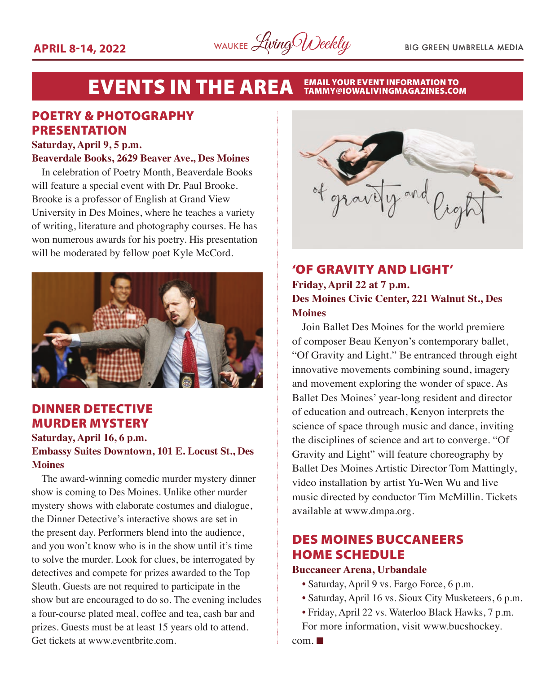

### EVENTS IN THE AREA EMAIL YOUR EVENT INFORMATION TO

### POETRY & PHOTOGRAPHY PRESENTATION

#### **Saturday, April 9, 5 p.m.**

#### **Beaverdale Books, 2629 Beaver Ave., Des Moines**

In celebration of Poetry Month, Beaverdale Books will feature a special event with Dr. Paul Brooke. Brooke is a professor of English at Grand View University in Des Moines, where he teaches a variety of writing, literature and photography courses. He has won numerous awards for his poetry. His presentation will be moderated by fellow poet Kyle McCord.



### DINNER DETECTIVE MURDER MYSTERY

**Saturday, April 16, 6 p.m.**

### **Embassy Suites Downtown, 101 E. Locust St., Des Moines**

The award-winning comedic murder mystery dinner show is coming to Des Moines. Unlike other murder mystery shows with elaborate costumes and dialogue, the Dinner Detective's interactive shows are set in the present day. Performers blend into the audience, and you won't know who is in the show until it's time to solve the murder. Look for clues, be interrogated by detectives and compete for prizes awarded to the Top Sleuth. Guests are not required to participate in the show but are encouraged to do so. The evening includes a four-course plated meal, coffee and tea, cash bar and prizes. Guests must be at least 15 years old to attend. Get tickets at www.eventbrite.com.



### 'OF GRAVITY AND LIGHT' **Friday, April 22 at 7 p.m. Des Moines Civic Center, 221 Walnut St., Des Moines**

Join Ballet Des Moines for the world premiere of composer Beau Kenyon's contemporary ballet, "Of Gravity and Light." Be entranced through eight innovative movements combining sound, imagery and movement exploring the wonder of space. As Ballet Des Moines' year-long resident and director of education and outreach, Kenyon interprets the science of space through music and dance, inviting the disciplines of science and art to converge. "Of Gravity and Light" will feature choreography by Ballet Des Moines Artistic Director Tom Mattingly, video installation by artist Yu-Wen Wu and live music directed by conductor Tim McMillin. Tickets available at www.dmpa.org.

### DES MOINES BUCCANEERS HOME SCHEDULE

### **Buccaneer Arena, Urbandale**

- Saturday, April 9 vs. Fargo Force, 6 p.m.
- Saturday, April 16 vs. Sioux City Musketeers, 6 p.m.
- Friday, April 22 vs. Waterloo Black Hawks, 7 p.m. For more information, visit www.bucshockey.

 $com. \blacksquare$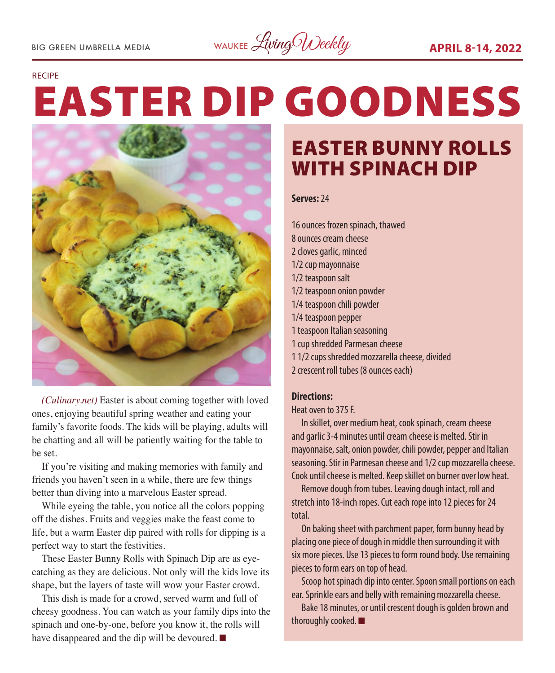BIG GREEN UMBRELLA MEDIA WAUKEE Living Weekly **APRIL 8-14, 2022** 

#### RECIPE

# EASTER DIP GOODNESS



*(Culinary.net)* Easter is about coming together with loved ones, enjoying beautiful spring weather and eating your family's favorite foods. The kids will be playing, adults will be chatting and all will be patiently waiting for the table to be set.

If you're visiting and making memories with family and friends you haven't seen in a while, there are few things better than diving into a marvelous Easter spread.

While eyeing the table, you notice all the colors popping off the dishes. Fruits and veggies make the feast come to life, but a warm Easter dip paired with rolls for dipping is a perfect way to start the festivities.

These Easter Bunny Rolls with Spinach Dip are as eyecatching as they are delicious. Not only will the kids love its shape, but the layers of taste will wow your Easter crowd.

This dish is made for a crowd, served warm and full of cheesy goodness. You can watch as your family dips into the spinach and one-by-one, before you know it, the rolls will have disappeared and the dip will be devoured.  $\blacksquare$ 

### EASTER BUNNY ROLLS WITH SPINACH DIP

### **Serves:** 24

16 ounces frozen spinach, thawed 8 ounces cream cheese 2 cloves garlic, minced 1/2 cup mayonnaise 1/2 teaspoon salt 1/2 teaspoon onion powder 1/4 teaspoon chili powder 1/4 teaspoon pepper 1 teaspoon Italian seasoning 1 cup shredded Parmesan cheese 1 1/2 cups shredded mozzarella cheese, divided

2 crescent roll tubes (8 ounces each)

#### **Directions:**

Heat oven to 375 F.

In skillet, over medium heat, cook spinach, cream cheese and garlic 3-4 minutes until cream cheese is melted. Stir in mayonnaise, salt, onion powder, chili powder, pepper and Italian seasoning. Stir in Parmesan cheese and 1/2 cup mozzarella cheese. Cook until cheese is melted. Keep skillet on burner over low heat.

Remove dough from tubes. Leaving dough intact, roll and stretch into 18-inch ropes. Cut each rope into 12 pieces for 24 total.

On baking sheet with parchment paper, form bunny head by placing one piece of dough in middle then surrounding it with six more pieces. Use 13 pieces to form round body. Use remaining pieces to form ears on top of head.

Scoop hot spinach dip into center. Spoon small portions on each ear. Sprinkle ears and belly with remaining mozzarella cheese.

Bake 18 minutes, or until crescent dough is golden brown and thoroughly cooked.  $\blacksquare$